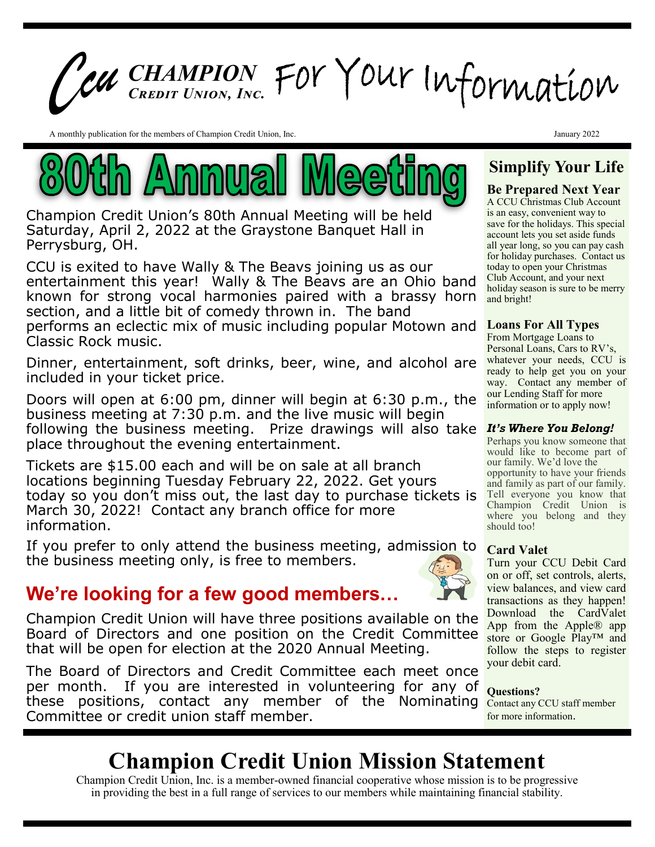# *CHAMPION Credit Union, Inc.*

A monthly publication for the members of Champion Credit Union, Inc.



Champion Credit Union's 80th Annual Meeting will be held Saturday, April 2, 2022 at the Graystone Banquet Hall in Perrysburg, OH.

CCU is exited to have Wally & The Beavs joining us as our entertainment this year! Wally & The Beavs are an Ohio band known for strong vocal harmonies paired with a brassy horn section, and a little bit of comedy thrown in. The band performs an eclectic mix of music including popular Motown and Classic Rock music.

Dinner, entertainment, soft drinks, beer, wine, and alcohol are included in your ticket price.

Doors will open at 6:00 pm, dinner will begin at 6:30 p.m., the business meeting at 7:30 p.m. and the live music will begin following the business meeting. Prize drawings will also take place throughout the evening entertainment.

Tickets are \$15.00 each and will be on sale at all branch locations beginning Tuesday February 22, 2022. Get yours today so you don't miss out, the last day to purchase tickets is March 30, 2022! Contact any branch office for more information.

If you prefer to only attend the business meeting, admission to the business meeting only, is free to members.

### **We're looking for a few good members…**

Champion Credit Union will have three positions available on the Board of Directors and one position on the Credit Committee that will be open for election at the 2020 Annual Meeting.

The Board of Directors and Credit Committee each meet once per month. If you are interested in volunteering for any of these positions, contact any member of the Nominating Committee or credit union staff member.



**Simplify Your Life**

January 2022

### **Be Prepared Next Year**

A CCU Christmas Club Account is an easy, convenient way to save for the holidays. This special account lets you set aside funds all year long, so you can pay cash for holiday purchases. Contact us today to open your Christmas Club Account, and your next holiday season is sure to be merry and bright!

### **Loans For All Types**

From Mortgage Loans to Personal Loans, Cars to RV's, whatever your needs, CCU is ready to help get you on your way. Contact any member of our Lending Staff for more information or to apply now!

### *It's Where You Belong!*

Perhaps you know someone that would like to become part of our family. We'd love the opportunity to have your friends and family as part of our family. Tell everyone you know that Champion Credit Union is where you belong and they should too!

### **Card Valet**

Turn your CCU Debit Card on or off, set controls, alerts, view balances, and view card transactions as they happen! Download the CardValet App from the Apple® app store or Google Play™ and follow the steps to register your debit card.

### **Questions?**

Contact any CCU staff member for more information.

## **Champion Credit Union Mission Statement**

Champion Credit Union, Inc. is a member-owned financial cooperative whose mission is to be progressive in providing the best in a full range of services to our members while maintaining financial stability.